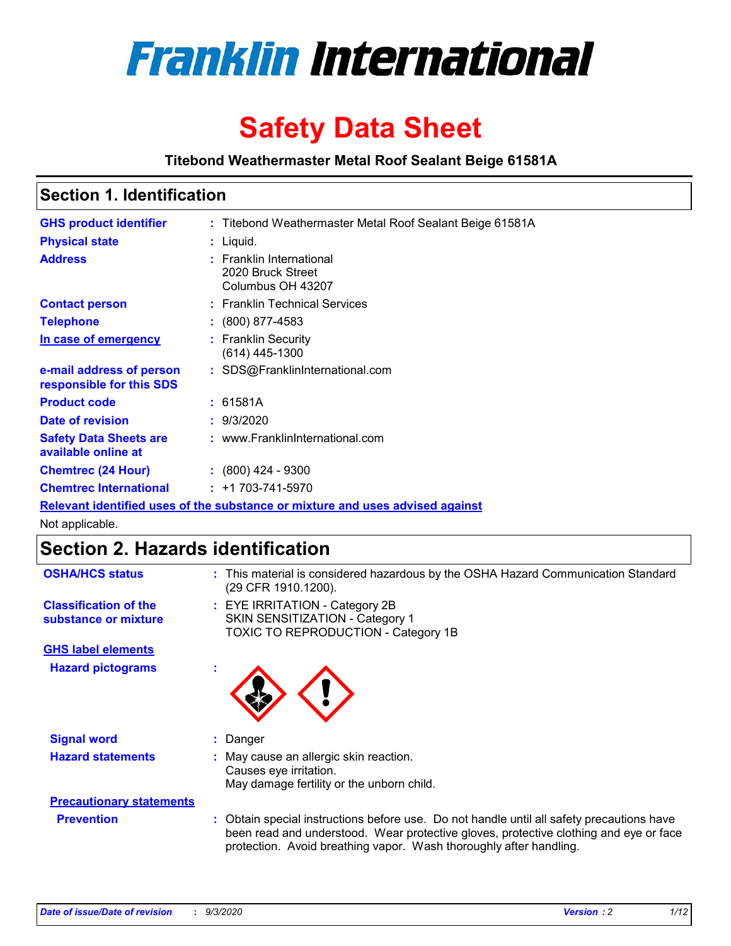

# **Safety Data Sheet**

**Titebond Weathermaster Metal Roof Sealant Beige 61581A**

### **Section 1. Identification**

| <b>GHS product identifier</b>                                                 |  | : Titebond Weathermaster Metal Roof Sealant Beige 61581A           |  |
|-------------------------------------------------------------------------------|--|--------------------------------------------------------------------|--|
| <b>Physical state</b>                                                         |  | : Liquid.                                                          |  |
| <b>Address</b>                                                                |  | : Franklin International<br>2020 Bruck Street<br>Columbus OH 43207 |  |
| <b>Contact person</b>                                                         |  | : Franklin Technical Services                                      |  |
| <b>Telephone</b>                                                              |  | $\div$ (800) 877-4583                                              |  |
| In case of emergency                                                          |  | : Franklin Security<br>$(614)$ 445-1300                            |  |
| e-mail address of person<br>responsible for this SDS                          |  | : SDS@FranklinInternational.com                                    |  |
| <b>Product code</b>                                                           |  | : 61581A                                                           |  |
| Date of revision                                                              |  | : 9/3/2020                                                         |  |
| <b>Safety Data Sheets are</b><br>available online at                          |  | : www.FranklinInternational.com                                    |  |
| <b>Chemtrec (24 Hour)</b>                                                     |  | $\div$ (800) 424 - 9300                                            |  |
| <b>Chemtrec International</b>                                                 |  | $: +1703 - 741 - 5970$                                             |  |
| Relevant identified uses of the substance or mixture and uses advised against |  |                                                                    |  |

Not applicable.

# **Section 2. Hazards identification**

| <b>OSHA/HCS status</b>                               |    | : This material is considered hazardous by the OSHA Hazard Communication Standard<br>(29 CFR 1910.1200).                                                                                                                                                 |
|------------------------------------------------------|----|----------------------------------------------------------------------------------------------------------------------------------------------------------------------------------------------------------------------------------------------------------|
| <b>Classification of the</b><br>substance or mixture |    | : EYE IRRITATION - Category 2B<br>SKIN SENSITIZATION - Category 1<br>TOXIC TO REPRODUCTION - Category 1B                                                                                                                                                 |
| <b>GHS label elements</b>                            |    |                                                                                                                                                                                                                                                          |
| <b>Hazard pictograms</b>                             | ٠  |                                                                                                                                                                                                                                                          |
| <b>Signal word</b>                                   | ÷. | Danger                                                                                                                                                                                                                                                   |
| <b>Hazard statements</b>                             |    | May cause an allergic skin reaction.<br>Causes eye irritation.<br>May damage fertility or the unborn child.                                                                                                                                              |
| <b>Precautionary statements</b>                      |    |                                                                                                                                                                                                                                                          |
| <b>Prevention</b>                                    |    | : Obtain special instructions before use. Do not handle until all safety precautions have<br>been read and understood. Wear protective gloves, protective clothing and eye or face<br>protection. Avoid breathing vapor. Wash thoroughly after handling. |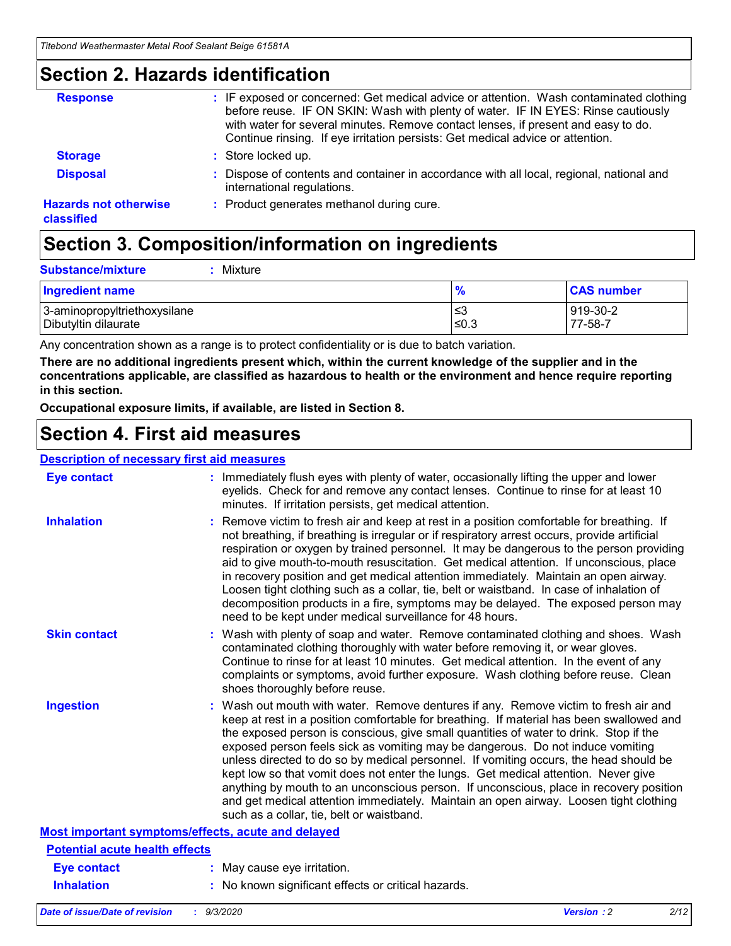### **Section 2. Hazards identification**

| <b>Response</b>                            | : IF exposed or concerned: Get medical advice or attention. Wash contaminated clothing<br>before reuse. IF ON SKIN: Wash with plenty of water. IF IN EYES: Rinse cautiously<br>with water for several minutes. Remove contact lenses, if present and easy to do.<br>Continue rinsing. If eye irritation persists: Get medical advice or attention. |
|--------------------------------------------|----------------------------------------------------------------------------------------------------------------------------------------------------------------------------------------------------------------------------------------------------------------------------------------------------------------------------------------------------|
| <b>Storage</b>                             | : Store locked up.                                                                                                                                                                                                                                                                                                                                 |
| <b>Disposal</b>                            | : Dispose of contents and container in accordance with all local, regional, national and<br>international regulations.                                                                                                                                                                                                                             |
| <b>Hazards not otherwise</b><br>classified | : Product generates methanol during cure.                                                                                                                                                                                                                                                                                                          |

# **Section 3. Composition/information on ingredients**

| <b>Substance/mixture</b> |  | $:$ Mixture |
|--------------------------|--|-------------|
|--------------------------|--|-------------|

| <b>Ingredient name</b>       | $\frac{9}{6}$ | <b>CAS number</b> |
|------------------------------|---------------|-------------------|
| 3-aminopropyltriethoxysilane | ≤3            | 919-30-2          |
| Dibutyltin dilaurate         | ∣≤0.3         | 77-58-7           |

Any concentration shown as a range is to protect confidentiality or is due to batch variation.

**There are no additional ingredients present which, within the current knowledge of the supplier and in the concentrations applicable, are classified as hazardous to health or the environment and hence require reporting in this section.**

**Occupational exposure limits, if available, are listed in Section 8.**

### **Section 4. First aid measures**

| <b>Description of necessary first aid measures</b> |                                                                                                                                                                                                                                                                                                                                                                                                                                                                                                                                                                                                                                                                                                                                                                           |
|----------------------------------------------------|---------------------------------------------------------------------------------------------------------------------------------------------------------------------------------------------------------------------------------------------------------------------------------------------------------------------------------------------------------------------------------------------------------------------------------------------------------------------------------------------------------------------------------------------------------------------------------------------------------------------------------------------------------------------------------------------------------------------------------------------------------------------------|
| <b>Eye contact</b>                                 | : Immediately flush eyes with plenty of water, occasionally lifting the upper and lower<br>eyelids. Check for and remove any contact lenses. Continue to rinse for at least 10<br>minutes. If irritation persists, get medical attention.                                                                                                                                                                                                                                                                                                                                                                                                                                                                                                                                 |
| <b>Inhalation</b>                                  | : Remove victim to fresh air and keep at rest in a position comfortable for breathing. If<br>not breathing, if breathing is irregular or if respiratory arrest occurs, provide artificial<br>respiration or oxygen by trained personnel. It may be dangerous to the person providing<br>aid to give mouth-to-mouth resuscitation. Get medical attention. If unconscious, place<br>in recovery position and get medical attention immediately. Maintain an open airway.<br>Loosen tight clothing such as a collar, tie, belt or waistband. In case of inhalation of<br>decomposition products in a fire, symptoms may be delayed. The exposed person may<br>need to be kept under medical surveillance for 48 hours.                                                       |
| <b>Skin contact</b>                                | : Wash with plenty of soap and water. Remove contaminated clothing and shoes. Wash<br>contaminated clothing thoroughly with water before removing it, or wear gloves.<br>Continue to rinse for at least 10 minutes. Get medical attention. In the event of any<br>complaints or symptoms, avoid further exposure. Wash clothing before reuse. Clean<br>shoes thoroughly before reuse.                                                                                                                                                                                                                                                                                                                                                                                     |
| <b>Ingestion</b>                                   | : Wash out mouth with water. Remove dentures if any. Remove victim to fresh air and<br>keep at rest in a position comfortable for breathing. If material has been swallowed and<br>the exposed person is conscious, give small quantities of water to drink. Stop if the<br>exposed person feels sick as vomiting may be dangerous. Do not induce vomiting<br>unless directed to do so by medical personnel. If vomiting occurs, the head should be<br>kept low so that vomit does not enter the lungs. Get medical attention. Never give<br>anything by mouth to an unconscious person. If unconscious, place in recovery position<br>and get medical attention immediately. Maintain an open airway. Loosen tight clothing<br>such as a collar, tie, belt or waistband. |
| Most important symptoms/effects, acute and delayed |                                                                                                                                                                                                                                                                                                                                                                                                                                                                                                                                                                                                                                                                                                                                                                           |
| <b>Potential acute health effects</b>              |                                                                                                                                                                                                                                                                                                                                                                                                                                                                                                                                                                                                                                                                                                                                                                           |
| <b>Eye contact</b>                                 | : May cause eye irritation.                                                                                                                                                                                                                                                                                                                                                                                                                                                                                                                                                                                                                                                                                                                                               |
| <b>Inhalation</b>                                  | : No known significant effects or critical hazards.                                                                                                                                                                                                                                                                                                                                                                                                                                                                                                                                                                                                                                                                                                                       |
|                                                    |                                                                                                                                                                                                                                                                                                                                                                                                                                                                                                                                                                                                                                                                                                                                                                           |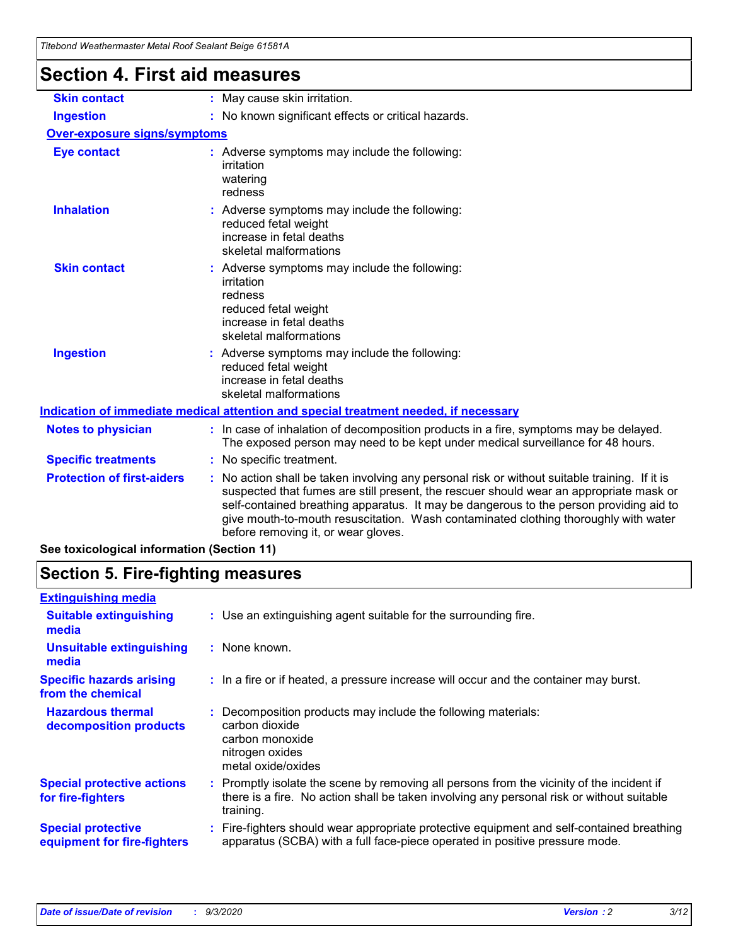| Titebond Weathermaster Metal Roof Sealant Beige 61581A |                                                                                                                                                                                                                                                                                                                                                                                                                 |
|--------------------------------------------------------|-----------------------------------------------------------------------------------------------------------------------------------------------------------------------------------------------------------------------------------------------------------------------------------------------------------------------------------------------------------------------------------------------------------------|
| <b>Section 4. First aid measures</b>                   |                                                                                                                                                                                                                                                                                                                                                                                                                 |
| <b>Skin contact</b>                                    | : May cause skin irritation.                                                                                                                                                                                                                                                                                                                                                                                    |
| <b>Ingestion</b>                                       | : No known significant effects or critical hazards.                                                                                                                                                                                                                                                                                                                                                             |
| <b>Over-exposure signs/symptoms</b>                    |                                                                                                                                                                                                                                                                                                                                                                                                                 |
| <b>Eye contact</b>                                     | : Adverse symptoms may include the following:<br>irritation<br>watering<br>redness                                                                                                                                                                                                                                                                                                                              |
| <b>Inhalation</b>                                      | : Adverse symptoms may include the following:<br>reduced fetal weight<br>increase in fetal deaths<br>skeletal malformations                                                                                                                                                                                                                                                                                     |
| <b>Skin contact</b>                                    | : Adverse symptoms may include the following:<br>irritation<br>redness<br>reduced fetal weight<br>increase in fetal deaths<br>skeletal malformations                                                                                                                                                                                                                                                            |
| <b>Ingestion</b>                                       | : Adverse symptoms may include the following:<br>reduced fetal weight<br>increase in fetal deaths<br>skeletal malformations                                                                                                                                                                                                                                                                                     |
|                                                        | Indication of immediate medical attention and special treatment needed, if necessary                                                                                                                                                                                                                                                                                                                            |
| <b>Notes to physician</b>                              | : In case of inhalation of decomposition products in a fire, symptoms may be delayed.<br>The exposed person may need to be kept under medical surveillance for 48 hours.                                                                                                                                                                                                                                        |
| <b>Specific treatments</b>                             | : No specific treatment.                                                                                                                                                                                                                                                                                                                                                                                        |
| <b>Protection of first-aiders</b>                      | : No action shall be taken involving any personal risk or without suitable training. If it is<br>suspected that fumes are still present, the rescuer should wear an appropriate mask or<br>self-contained breathing apparatus. It may be dangerous to the person providing aid to<br>give mouth-to-mouth resuscitation. Wash contaminated clothing thoroughly with water<br>before removing it, or wear gloves. |

**See toxicological information (Section 11)**

# **Section 5. Fire-fighting measures**

| <b>Extinguishing media</b>                               |                                                                                                                                                                                                     |
|----------------------------------------------------------|-----------------------------------------------------------------------------------------------------------------------------------------------------------------------------------------------------|
| <b>Suitable extinguishing</b><br>media                   | : Use an extinguishing agent suitable for the surrounding fire.                                                                                                                                     |
| <b>Unsuitable extinguishing</b><br>media                 | : None known.                                                                                                                                                                                       |
| <b>Specific hazards arising</b><br>from the chemical     | : In a fire or if heated, a pressure increase will occur and the container may burst.                                                                                                               |
| <b>Hazardous thermal</b><br>decomposition products       | : Decomposition products may include the following materials:<br>carbon dioxide<br>carbon monoxide<br>nitrogen oxides<br>metal oxide/oxides                                                         |
| <b>Special protective actions</b><br>for fire-fighters   | : Promptly isolate the scene by removing all persons from the vicinity of the incident if<br>there is a fire. No action shall be taken involving any personal risk or without suitable<br>training. |
| <b>Special protective</b><br>equipment for fire-fighters | Fire-fighters should wear appropriate protective equipment and self-contained breathing<br>apparatus (SCBA) with a full face-piece operated in positive pressure mode.                              |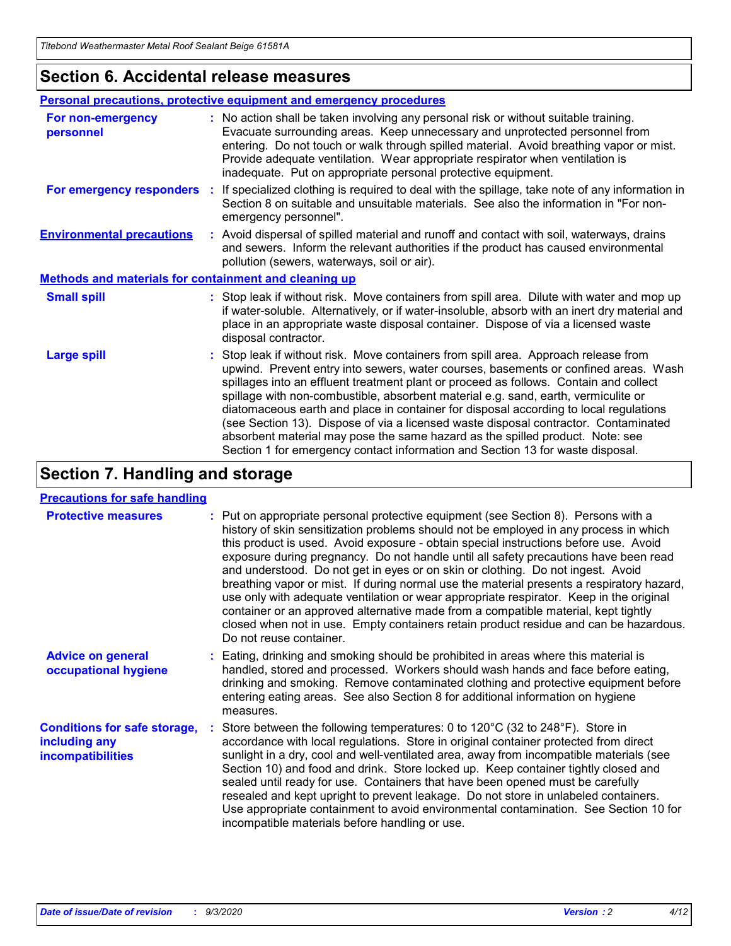### **Section 6. Accidental release measures**

|                                                              | <b>Personal precautions, protective equipment and emergency procedures</b>                                                                                                                                                                                                                                                                                                                                                                                                                                                                                                                                                                                                                                   |  |  |  |
|--------------------------------------------------------------|--------------------------------------------------------------------------------------------------------------------------------------------------------------------------------------------------------------------------------------------------------------------------------------------------------------------------------------------------------------------------------------------------------------------------------------------------------------------------------------------------------------------------------------------------------------------------------------------------------------------------------------------------------------------------------------------------------------|--|--|--|
| For non-emergency<br>personnel                               | : No action shall be taken involving any personal risk or without suitable training.<br>Evacuate surrounding areas. Keep unnecessary and unprotected personnel from<br>entering. Do not touch or walk through spilled material. Avoid breathing vapor or mist.<br>Provide adequate ventilation. Wear appropriate respirator when ventilation is<br>inadequate. Put on appropriate personal protective equipment.                                                                                                                                                                                                                                                                                             |  |  |  |
| For emergency responders                                     | : If specialized clothing is required to deal with the spillage, take note of any information in<br>Section 8 on suitable and unsuitable materials. See also the information in "For non-<br>emergency personnel".                                                                                                                                                                                                                                                                                                                                                                                                                                                                                           |  |  |  |
| <b>Environmental precautions</b>                             | : Avoid dispersal of spilled material and runoff and contact with soil, waterways, drains<br>and sewers. Inform the relevant authorities if the product has caused environmental<br>pollution (sewers, waterways, soil or air).                                                                                                                                                                                                                                                                                                                                                                                                                                                                              |  |  |  |
| <b>Methods and materials for containment and cleaning up</b> |                                                                                                                                                                                                                                                                                                                                                                                                                                                                                                                                                                                                                                                                                                              |  |  |  |
| <b>Small spill</b>                                           | : Stop leak if without risk. Move containers from spill area. Dilute with water and mop up<br>if water-soluble. Alternatively, or if water-insoluble, absorb with an inert dry material and<br>place in an appropriate waste disposal container. Dispose of via a licensed waste<br>disposal contractor.                                                                                                                                                                                                                                                                                                                                                                                                     |  |  |  |
| <b>Large spill</b>                                           | : Stop leak if without risk. Move containers from spill area. Approach release from<br>upwind. Prevent entry into sewers, water courses, basements or confined areas. Wash<br>spillages into an effluent treatment plant or proceed as follows. Contain and collect<br>spillage with non-combustible, absorbent material e.g. sand, earth, vermiculite or<br>diatomaceous earth and place in container for disposal according to local regulations<br>(see Section 13). Dispose of via a licensed waste disposal contractor. Contaminated<br>absorbent material may pose the same hazard as the spilled product. Note: see<br>Section 1 for emergency contact information and Section 13 for waste disposal. |  |  |  |

# **Section 7. Handling and storage**

#### **Precautions for safe handling**

| <b>Protective measures</b>                                                       | : Put on appropriate personal protective equipment (see Section 8). Persons with a<br>history of skin sensitization problems should not be employed in any process in which<br>this product is used. Avoid exposure - obtain special instructions before use. Avoid<br>exposure during pregnancy. Do not handle until all safety precautions have been read<br>and understood. Do not get in eyes or on skin or clothing. Do not ingest. Avoid<br>breathing vapor or mist. If during normal use the material presents a respiratory hazard,<br>use only with adequate ventilation or wear appropriate respirator. Keep in the original<br>container or an approved alternative made from a compatible material, kept tightly<br>closed when not in use. Empty containers retain product residue and can be hazardous.<br>Do not reuse container. |
|----------------------------------------------------------------------------------|--------------------------------------------------------------------------------------------------------------------------------------------------------------------------------------------------------------------------------------------------------------------------------------------------------------------------------------------------------------------------------------------------------------------------------------------------------------------------------------------------------------------------------------------------------------------------------------------------------------------------------------------------------------------------------------------------------------------------------------------------------------------------------------------------------------------------------------------------|
| <b>Advice on general</b><br>occupational hygiene                                 | : Eating, drinking and smoking should be prohibited in areas where this material is<br>handled, stored and processed. Workers should wash hands and face before eating,<br>drinking and smoking. Remove contaminated clothing and protective equipment before<br>entering eating areas. See also Section 8 for additional information on hygiene<br>measures.                                                                                                                                                                                                                                                                                                                                                                                                                                                                                    |
| <b>Conditions for safe storage,</b><br>including any<br><i>incompatibilities</i> | Store between the following temperatures: 0 to 120°C (32 to 248°F). Store in<br>accordance with local regulations. Store in original container protected from direct<br>sunlight in a dry, cool and well-ventilated area, away from incompatible materials (see<br>Section 10) and food and drink. Store locked up. Keep container tightly closed and<br>sealed until ready for use. Containers that have been opened must be carefully<br>resealed and kept upright to prevent leakage. Do not store in unlabeled containers.<br>Use appropriate containment to avoid environmental contamination. See Section 10 for<br>incompatible materials before handling or use.                                                                                                                                                                         |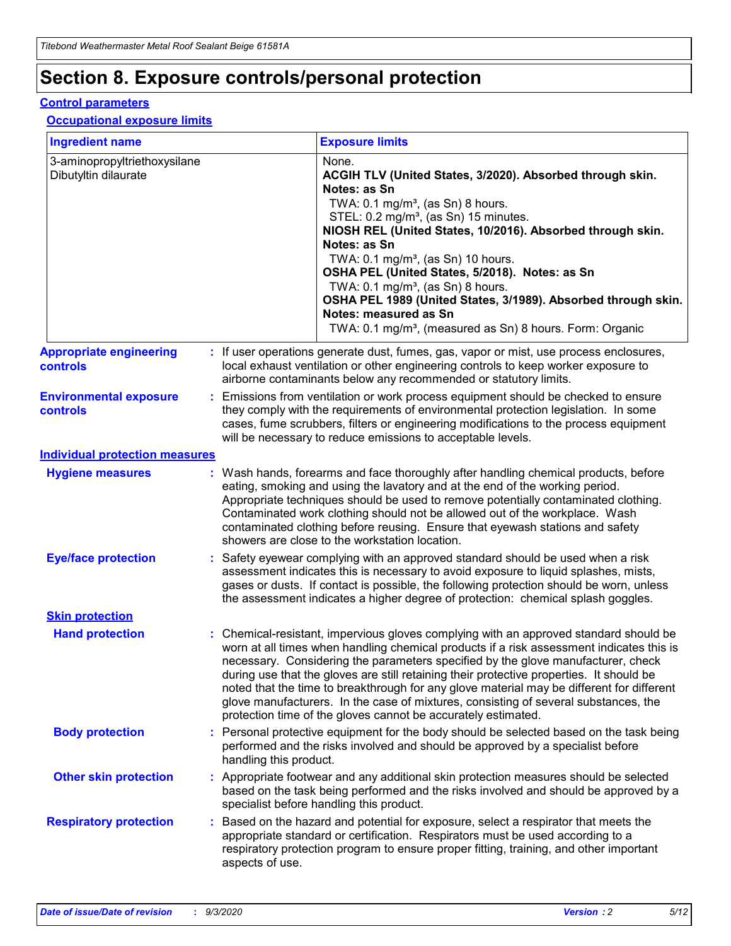# **Section 8. Exposure controls/personal protection**

#### **Control parameters**

#### **Occupational exposure limits**

| <b>Ingredient name</b>                               |    |                        | <b>Exposure limits</b>                                                                                                                                                                                                                                                                                                                                                                                                                                                                                                                                                                                                 |
|------------------------------------------------------|----|------------------------|------------------------------------------------------------------------------------------------------------------------------------------------------------------------------------------------------------------------------------------------------------------------------------------------------------------------------------------------------------------------------------------------------------------------------------------------------------------------------------------------------------------------------------------------------------------------------------------------------------------------|
| 3-aminopropyltriethoxysilane<br>Dibutyltin dilaurate |    |                        | None.<br>ACGIH TLV (United States, 3/2020). Absorbed through skin.<br>Notes: as Sn<br>TWA: $0.1 \text{ mg/m}^3$ , (as Sn) 8 hours.<br>STEL: 0.2 mg/m <sup>3</sup> , (as Sn) 15 minutes.<br>NIOSH REL (United States, 10/2016). Absorbed through skin.<br>Notes: as Sn<br>TWA: 0.1 mg/m <sup>3</sup> , (as Sn) 10 hours.<br>OSHA PEL (United States, 5/2018). Notes: as Sn<br>TWA: $0.1 \text{ mg/m}^3$ , (as Sn) 8 hours.<br>OSHA PEL 1989 (United States, 3/1989). Absorbed through skin.<br>Notes: measured as Sn<br>TWA: 0.1 mg/m <sup>3</sup> , (measured as Sn) 8 hours. Form: Organic                            |
| <b>Appropriate engineering</b><br>controls           |    |                        | : If user operations generate dust, fumes, gas, vapor or mist, use process enclosures,<br>local exhaust ventilation or other engineering controls to keep worker exposure to<br>airborne contaminants below any recommended or statutory limits.                                                                                                                                                                                                                                                                                                                                                                       |
| <b>Environmental exposure</b><br>controls            |    |                        | Emissions from ventilation or work process equipment should be checked to ensure<br>they comply with the requirements of environmental protection legislation. In some<br>cases, fume scrubbers, filters or engineering modifications to the process equipment<br>will be necessary to reduce emissions to acceptable levels.                                                                                                                                                                                                                                                                                          |
| <b>Individual protection measures</b>                |    |                        |                                                                                                                                                                                                                                                                                                                                                                                                                                                                                                                                                                                                                        |
| <b>Hygiene measures</b>                              |    |                        | : Wash hands, forearms and face thoroughly after handling chemical products, before<br>eating, smoking and using the lavatory and at the end of the working period.<br>Appropriate techniques should be used to remove potentially contaminated clothing.<br>Contaminated work clothing should not be allowed out of the workplace. Wash<br>contaminated clothing before reusing. Ensure that eyewash stations and safety<br>showers are close to the workstation location.                                                                                                                                            |
| <b>Eye/face protection</b>                           |    |                        | : Safety eyewear complying with an approved standard should be used when a risk<br>assessment indicates this is necessary to avoid exposure to liquid splashes, mists,<br>gases or dusts. If contact is possible, the following protection should be worn, unless<br>the assessment indicates a higher degree of protection: chemical splash goggles.                                                                                                                                                                                                                                                                  |
| <b>Skin protection</b>                               |    |                        |                                                                                                                                                                                                                                                                                                                                                                                                                                                                                                                                                                                                                        |
| <b>Hand protection</b>                               |    |                        | : Chemical-resistant, impervious gloves complying with an approved standard should be<br>worn at all times when handling chemical products if a risk assessment indicates this is<br>necessary. Considering the parameters specified by the glove manufacturer, check<br>during use that the gloves are still retaining their protective properties. It should be<br>noted that the time to breakthrough for any glove material may be different for different<br>glove manufacturers. In the case of mixtures, consisting of several substances, the<br>protection time of the gloves cannot be accurately estimated. |
| <b>Body protection</b>                               |    | handling this product. | Personal protective equipment for the body should be selected based on the task being<br>performed and the risks involved and should be approved by a specialist before                                                                                                                                                                                                                                                                                                                                                                                                                                                |
| <b>Other skin protection</b>                         |    |                        | : Appropriate footwear and any additional skin protection measures should be selected<br>based on the task being performed and the risks involved and should be approved by a<br>specialist before handling this product.                                                                                                                                                                                                                                                                                                                                                                                              |
| <b>Respiratory protection</b>                        | ÷. | aspects of use.        | Based on the hazard and potential for exposure, select a respirator that meets the<br>appropriate standard or certification. Respirators must be used according to a<br>respiratory protection program to ensure proper fitting, training, and other important                                                                                                                                                                                                                                                                                                                                                         |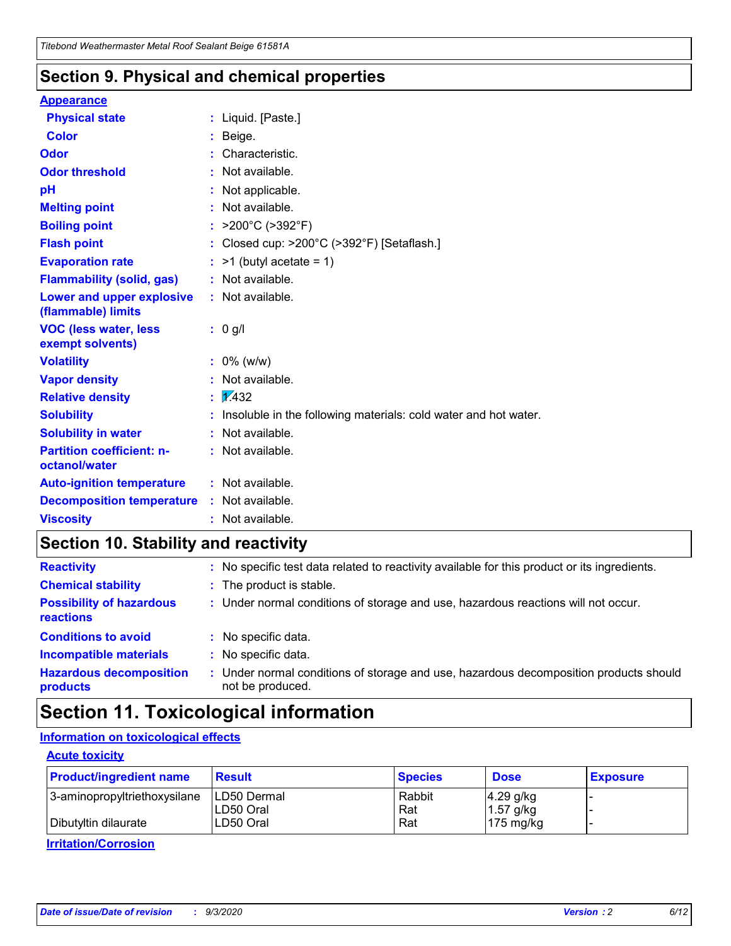### **Section 9. Physical and chemical properties**

#### **Appearance**

| <b>Physical state</b>                             | : Liquid. [Paste.]                                              |
|---------------------------------------------------|-----------------------------------------------------------------|
| <b>Color</b>                                      | Beige.                                                          |
| Odor                                              | Characteristic.                                                 |
| <b>Odor threshold</b>                             | Not available.                                                  |
| рH                                                | Not applicable.                                                 |
| <b>Melting point</b>                              | : Not available.                                                |
| <b>Boiling point</b>                              | >200°C (>392°F)                                                 |
| <b>Flash point</b>                                | Closed cup: >200°C (>392°F) [Setaflash.]                        |
| <b>Evaporation rate</b>                           | $:$ >1 (butyl acetate = 1)                                      |
| <b>Flammability (solid, gas)</b>                  | : Not available.                                                |
| Lower and upper explosive<br>(flammable) limits   | : Not available.                                                |
| <b>VOC (less water, less)</b><br>exempt solvents) | : 0 g/l                                                         |
| <b>Volatility</b>                                 | $: 0\%$ (w/w)                                                   |
| <b>Vapor density</b>                              | Not available.                                                  |
| <b>Relative density</b>                           | $\mathbf{1}$ $\mathbf{\sqrt{432}}$                              |
| <b>Solubility</b>                                 | Insoluble in the following materials: cold water and hot water. |
| <b>Solubility in water</b>                        | Not available.                                                  |
| <b>Partition coefficient: n-</b><br>octanol/water | $:$ Not available.                                              |
| <b>Auto-ignition temperature</b>                  | : Not available.                                                |
| <b>Decomposition temperature</b>                  | : Not available.                                                |
| <b>Viscosity</b>                                  | $:$ Not available.                                              |

### **Section 10. Stability and reactivity**

| <b>Reactivity</b>                            |    | : No specific test data related to reactivity available for this product or its ingredients.            |
|----------------------------------------------|----|---------------------------------------------------------------------------------------------------------|
| <b>Chemical stability</b>                    |    | : The product is stable.                                                                                |
| <b>Possibility of hazardous</b><br>reactions |    | : Under normal conditions of storage and use, hazardous reactions will not occur.                       |
| <b>Conditions to avoid</b>                   |    | : No specific data.                                                                                     |
| <b>Incompatible materials</b>                | ٠. | No specific data.                                                                                       |
| <b>Hazardous decomposition</b><br>products   | ÷. | Under normal conditions of storage and use, hazardous decomposition products should<br>not be produced. |

# **Section 11. Toxicological information**

#### **Information on toxicological effects**

#### **Acute toxicity**

| <b>Product/ingredient name</b> | <b>Result</b>           | <b>Species</b> | <b>Dose</b>                | <b>Exposure</b> |
|--------------------------------|-------------------------|----------------|----------------------------|-----------------|
| 3-aminopropyltriethoxysilane   | <b>ILD50 Dermal</b>     | Rabbit         | 4.29 g/kg                  |                 |
| Dibutyltin dilaurate           | ILD50 Oral<br>LD50 Oral | Rat<br>Rat     | $1.57$ g/kg<br>175 $mg/kg$ |                 |
|                                |                         |                |                            |                 |

**Irritation/Corrosion**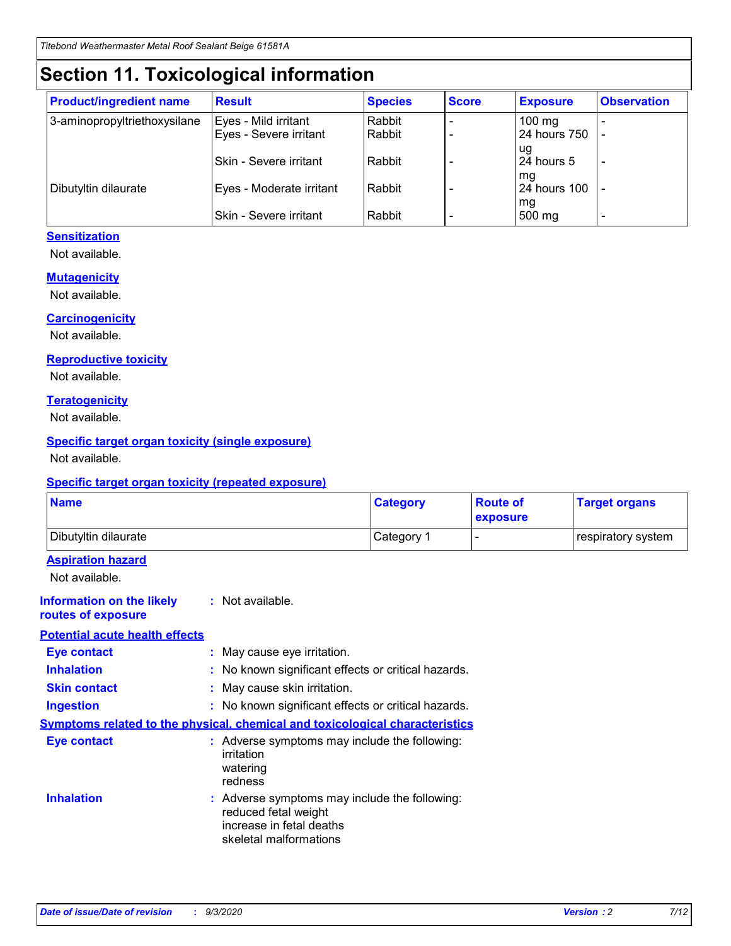# **Section 11. Toxicological information**

| <b>Product/ingredient name</b> | <b>Result</b>                 | <b>Species</b> | <b>Score</b> | <b>Exposure</b>    | <b>Observation</b>       |
|--------------------------------|-------------------------------|----------------|--------------|--------------------|--------------------------|
| 3-aminopropyltriethoxysilane   | Eyes - Mild irritant          | Rabbit         |              | $100 \text{ mg}$   |                          |
|                                | Eyes - Severe irritant        | Rabbit         |              | 24 hours 750       |                          |
|                                |                               |                |              | ug                 |                          |
|                                | <b>Skin - Severe irritant</b> | Rabbit         |              | 24 hours 5         | $\overline{\phantom{0}}$ |
| Dibutyltin dilaurate           | Eyes - Moderate irritant      | Rabbit         |              | mg<br>24 hours 100 |                          |
|                                |                               |                |              | mg                 |                          |
|                                | Skin - Severe irritant        | Rabbit         |              | 500 mg             | -                        |

#### **Sensitization**

Not available.

#### **Mutagenicity**

Not available.

#### **Carcinogenicity**

Not available.

#### **Reproductive toxicity**

Not available.

#### **Teratogenicity**

Not available.

#### **Specific target organ toxicity (single exposure)**

Not available.

#### **Specific target organ toxicity (repeated exposure)**

| <b>Name</b>                                                                  |                                                                                                                             | <b>Category</b>                                     | <b>Route of</b><br>exposure | <b>Target organs</b> |  |  |
|------------------------------------------------------------------------------|-----------------------------------------------------------------------------------------------------------------------------|-----------------------------------------------------|-----------------------------|----------------------|--|--|
| Dibutyltin dilaurate                                                         |                                                                                                                             | Category 1                                          |                             | respiratory system   |  |  |
| <b>Aspiration hazard</b><br>Not available.                                   |                                                                                                                             |                                                     |                             |                      |  |  |
| <b>Information on the likely</b><br>routes of exposure                       | : Not available.                                                                                                            |                                                     |                             |                      |  |  |
| <b>Potential acute health effects</b>                                        |                                                                                                                             |                                                     |                             |                      |  |  |
| <b>Eye contact</b>                                                           | : May cause eye irritation.                                                                                                 |                                                     |                             |                      |  |  |
| <b>Inhalation</b>                                                            |                                                                                                                             | : No known significant effects or critical hazards. |                             |                      |  |  |
| <b>Skin contact</b>                                                          |                                                                                                                             | : May cause skin irritation.                        |                             |                      |  |  |
| <b>Ingestion</b>                                                             |                                                                                                                             | : No known significant effects or critical hazards. |                             |                      |  |  |
| Symptoms related to the physical, chemical and toxicological characteristics |                                                                                                                             |                                                     |                             |                      |  |  |
| <b>Eye contact</b>                                                           | : Adverse symptoms may include the following:<br>irritation<br>watering<br>redness                                          |                                                     |                             |                      |  |  |
| <b>Inhalation</b>                                                            | : Adverse symptoms may include the following:<br>reduced fetal weight<br>increase in fetal deaths<br>skeletal malformations |                                                     |                             |                      |  |  |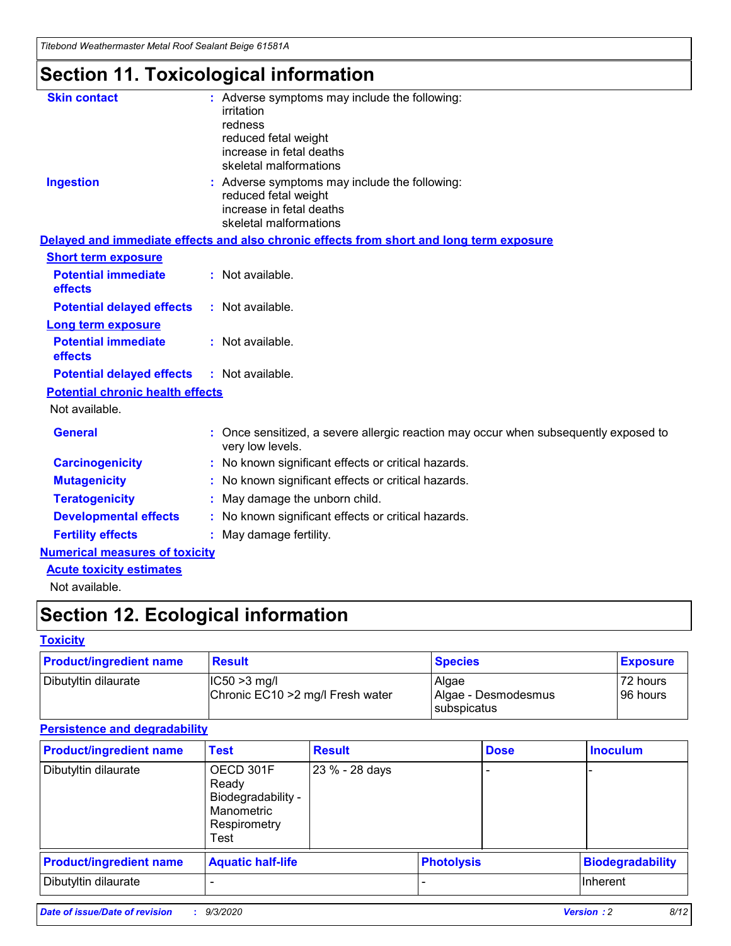*Titebond Weathermaster Metal Roof Sealant Beige 61581A*

# **Section 11. Toxicological information**

| <b>Skin contact</b>                     | : Adverse symptoms may include the following:<br>irritation                                            |
|-----------------------------------------|--------------------------------------------------------------------------------------------------------|
|                                         | redness                                                                                                |
|                                         | reduced fetal weight                                                                                   |
|                                         | increase in fetal deaths                                                                               |
|                                         | skeletal malformations                                                                                 |
| <b>Ingestion</b>                        | : Adverse symptoms may include the following:<br>reduced fetal weight                                  |
|                                         | increase in fetal deaths                                                                               |
|                                         | skeletal malformations                                                                                 |
|                                         | Delayed and immediate effects and also chronic effects from short and long term exposure               |
| <b>Short term exposure</b>              |                                                                                                        |
| <b>Potential immediate</b><br>effects   | : Not available.                                                                                       |
| <b>Potential delayed effects</b>        | : Not available.                                                                                       |
| Long term exposure                      |                                                                                                        |
| <b>Potential immediate</b><br>effects   | : Not available.                                                                                       |
| <b>Potential delayed effects</b>        | : Not available.                                                                                       |
| <b>Potential chronic health effects</b> |                                                                                                        |
| Not available.                          |                                                                                                        |
| <b>General</b>                          | Once sensitized, a severe allergic reaction may occur when subsequently exposed to<br>very low levels. |
| <b>Carcinogenicity</b>                  | No known significant effects or critical hazards.                                                      |
| <b>Mutagenicity</b>                     | : No known significant effects or critical hazards.                                                    |
| <b>Teratogenicity</b>                   | May damage the unborn child.                                                                           |
| <b>Developmental effects</b>            | : No known significant effects or critical hazards.                                                    |
| <b>Fertility effects</b>                | : May damage fertility.                                                                                |
| <b>Numerical measures of toxicity</b>   |                                                                                                        |
| <b>Acute toxicity estimates</b>         |                                                                                                        |
| Not ovoilable                           |                                                                                                        |

Not available.

# **Section 12. Ecological information**

#### **Toxicity**

| <b>Product/ingredient name</b> | <b>Result</b>                                       | <b>Species</b>               | <b>Exposure</b>       |
|--------------------------------|-----------------------------------------------------|------------------------------|-----------------------|
| Dibutyltin dilaurate           | $ CC50>3$ mg/l<br>Chronic EC10 > 2 mg/l Fresh water | Algae<br>Algae - Desmodesmus | 72 hours<br>196 hours |
|                                |                                                     | <b>I</b> subspicatus         |                       |

#### **Persistence and degradability**

| <b>Product/ingredient name</b> | <b>Test</b>                                                                    | <b>Result</b>  |                   | <b>Dose</b> | <b>Inoculum</b>         |
|--------------------------------|--------------------------------------------------------------------------------|----------------|-------------------|-------------|-------------------------|
| Dibutyltin dilaurate           | OECD 301F<br>Ready<br>Biodegradability -<br>Manometric<br>Respirometry<br>Test | 23 % - 28 days |                   |             |                         |
| <b>Product/ingredient name</b> | <b>Aquatic half-life</b>                                                       |                | <b>Photolysis</b> |             | <b>Biodegradability</b> |
| Dibutyltin dilaurate           |                                                                                |                |                   |             | <b>Inherent</b>         |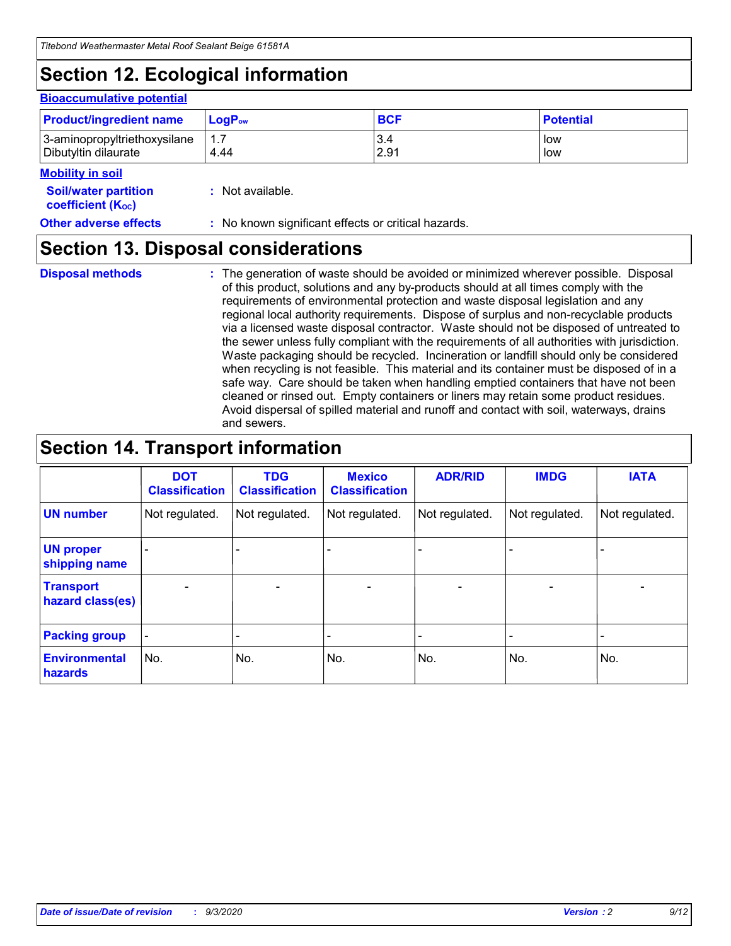# **Section 12. Ecological information**

#### **Bioaccumulative potential**

| <b>Product/ingredient name</b> | $\mathsf{LogP}_\mathsf{ow}$ | <b>BCF</b> | <b>Potential</b> |
|--------------------------------|-----------------------------|------------|------------------|
| 3-aminopropyltriethoxysilane   | $1.\overline{7}$            | 3.4        | low              |
| Dibutyltin dilaurate           | 4.44                        | 2.91       | low              |

#### **Mobility in soil**

| <b>Soil/water partition</b> | : Not available. |  |
|-----------------------------|------------------|--|
| <b>coefficient (Koc)</b>    |                  |  |

#### **Other adverse effects** : No known significant effects or critical hazards.

### **Section 13. Disposal considerations**

**Disposal methods :**

The generation of waste should be avoided or minimized wherever possible. Disposal of this product, solutions and any by-products should at all times comply with the requirements of environmental protection and waste disposal legislation and any regional local authority requirements. Dispose of surplus and non-recyclable products via a licensed waste disposal contractor. Waste should not be disposed of untreated to the sewer unless fully compliant with the requirements of all authorities with jurisdiction. Waste packaging should be recycled. Incineration or landfill should only be considered when recycling is not feasible. This material and its container must be disposed of in a safe way. Care should be taken when handling emptied containers that have not been cleaned or rinsed out. Empty containers or liners may retain some product residues. Avoid dispersal of spilled material and runoff and contact with soil, waterways, drains and sewers.

### **Section 14. Transport information**

|                                      | <b>DOT</b><br><b>Classification</b> | <b>TDG</b><br><b>Classification</b> | <b>Mexico</b><br><b>Classification</b> | <b>ADR/RID</b>           | <b>IMDG</b>              | <b>IATA</b>    |
|--------------------------------------|-------------------------------------|-------------------------------------|----------------------------------------|--------------------------|--------------------------|----------------|
| <b>UN number</b>                     | Not regulated.                      | Not regulated.                      | Not regulated.                         | Not regulated.           | Not regulated.           | Not regulated. |
| <b>UN proper</b><br>shipping name    |                                     |                                     |                                        |                          |                          |                |
| <b>Transport</b><br>hazard class(es) |                                     | $\overline{\phantom{0}}$            | $\qquad \qquad \blacksquare$           | $\overline{\phantom{0}}$ | $\overline{\phantom{0}}$ |                |
| <b>Packing group</b>                 |                                     |                                     |                                        |                          |                          |                |
| <b>Environmental</b><br>hazards      | No.                                 | No.                                 | No.                                    | No.                      | No.                      | No.            |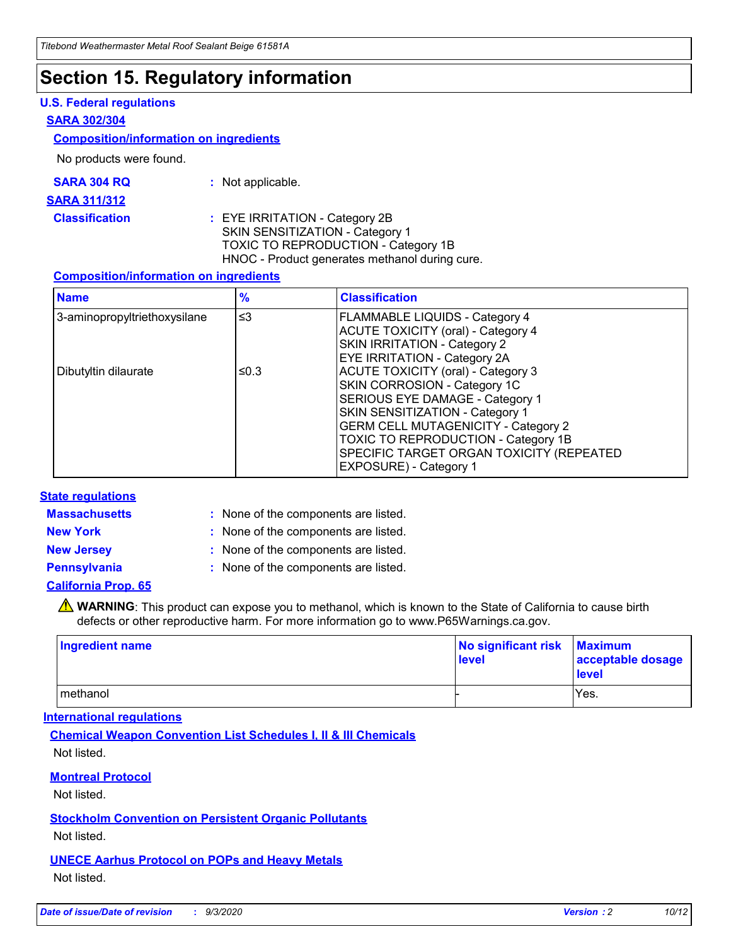# **Section 15. Regulatory information**

#### **U.S. Federal regulations**

#### **SARA 302/304**

#### **Composition/information on ingredients**

No products were found.

| SARA 304 RQ | Not applicable. |
|-------------|-----------------|
|-------------|-----------------|

#### **SARA 311/312**

**Classification :** EYE IRRITATION - Category 2B SKIN SENSITIZATION - Category 1 TOXIC TO REPRODUCTION - Category 1B HNOC - Product generates methanol during cure.

#### **Composition/information on ingredients**

| <b>Name</b>                  | $\frac{9}{6}$ | <b>Classification</b>                                                                                                                                                                                                                                                                                      |
|------------------------------|---------------|------------------------------------------------------------------------------------------------------------------------------------------------------------------------------------------------------------------------------------------------------------------------------------------------------------|
| 3-aminopropyltriethoxysilane | $\leq$ 3      | <b>FLAMMABLE LIQUIDS - Category 4</b><br><b>ACUTE TOXICITY (oral) - Category 4</b><br><b>SKIN IRRITATION - Category 2</b><br>EYE IRRITATION - Category 2A                                                                                                                                                  |
| Dibutyltin dilaurate         | ≤0.3          | <b>ACUTE TOXICITY (oral) - Category 3</b><br>SKIN CORROSION - Category 1C<br>SERIOUS EYE DAMAGE - Category 1<br>SKIN SENSITIZATION - Category 1<br><b>GERM CELL MUTAGENICITY - Category 2</b><br>TOXIC TO REPRODUCTION - Category 1B<br>SPECIFIC TARGET ORGAN TOXICITY (REPEATED<br>EXPOSURE) - Category 1 |

#### **State regulations**

**Massachusetts :**

: None of the components are listed.

**New York :** None of the components are listed. **New Jersey :** None of the components are listed.

**Pennsylvania :** None of the components are listed.

#### **California Prop. 65**

WARNING: This product can expose you to methanol, which is known to the State of California to cause birth defects or other reproductive harm. For more information go to www.P65Warnings.ca.gov.

| Ingredient name | No significant risk<br>level | <b>Maximum</b><br>acceptable dosage<br><b>level</b> |
|-----------------|------------------------------|-----------------------------------------------------|
| methanol        |                              | Yes.                                                |

#### **International regulations**

**Chemical Weapon Convention List Schedules I, II & III Chemicals** Not listed.

#### **Montreal Protocol**

Not listed.

**Stockholm Convention on Persistent Organic Pollutants**

Not listed.

**UNECE Aarhus Protocol on POPs and Heavy Metals** Not listed.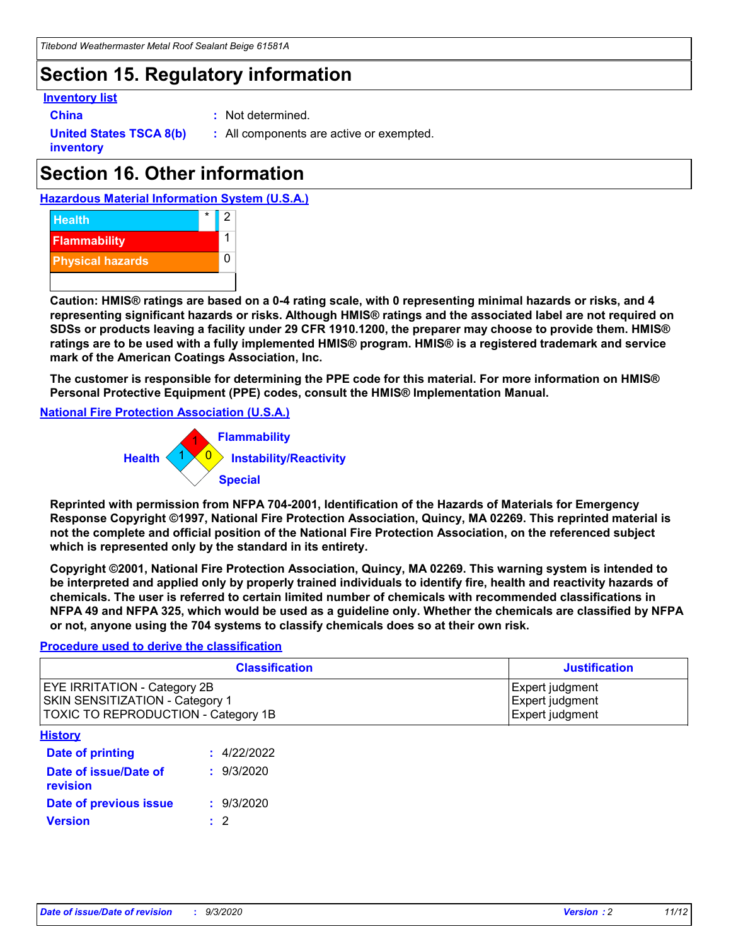# **Section 15. Regulatory information**

#### **Inventory list**

- 
- **China :** Not determined.

**United States TSCA 8(b) inventory**

**:** All components are active or exempted.

# **Section 16. Other information**

**Hazardous Material Information System (U.S.A.)**



**Caution: HMIS® ratings are based on a 0-4 rating scale, with 0 representing minimal hazards or risks, and 4 representing significant hazards or risks. Although HMIS® ratings and the associated label are not required on SDSs or products leaving a facility under 29 CFR 1910.1200, the preparer may choose to provide them. HMIS® ratings are to be used with a fully implemented HMIS® program. HMIS® is a registered trademark and service mark of the American Coatings Association, Inc.**

**The customer is responsible for determining the PPE code for this material. For more information on HMIS® Personal Protective Equipment (PPE) codes, consult the HMIS® Implementation Manual.**

**National Fire Protection Association (U.S.A.)**



**Reprinted with permission from NFPA 704-2001, Identification of the Hazards of Materials for Emergency Response Copyright ©1997, National Fire Protection Association, Quincy, MA 02269. This reprinted material is not the complete and official position of the National Fire Protection Association, on the referenced subject which is represented only by the standard in its entirety.**

**Copyright ©2001, National Fire Protection Association, Quincy, MA 02269. This warning system is intended to be interpreted and applied only by properly trained individuals to identify fire, health and reactivity hazards of chemicals. The user is referred to certain limited number of chemicals with recommended classifications in NFPA 49 and NFPA 325, which would be used as a guideline only. Whether the chemicals are classified by NFPA or not, anyone using the 704 systems to classify chemicals does so at their own risk.**

#### **Procedure used to derive the classification**

| <b>Classification</b>                                                                                         | <b>Justification</b>                                  |
|---------------------------------------------------------------------------------------------------------------|-------------------------------------------------------|
| <b>EYE IRRITATION - Category 2B</b><br>SKIN SENSITIZATION - Category 1<br>TOXIC TO REPRODUCTION - Category 1B | Expert judgment<br>Expert judgment<br>Expert judgment |
| <b>History</b>                                                                                                |                                                       |

| .                                 |             |
|-----------------------------------|-------------|
| <b>Date of printing</b>           | : 4/22/2022 |
| Date of issue/Date of<br>revision | : 9/3/2020  |
| Date of previous issue            | : 9/3/2020  |
| <b>Version</b>                    | $\cdot$ 2   |
|                                   |             |